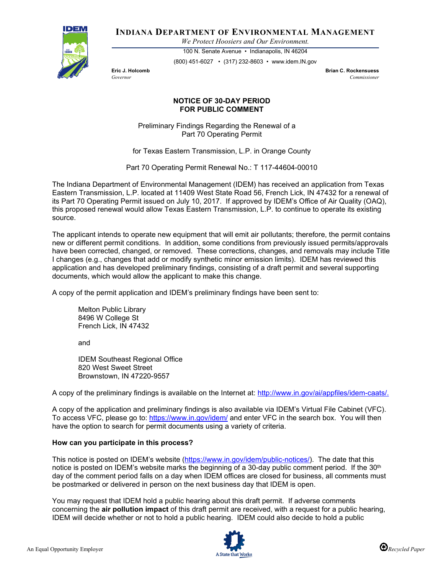

**INDIANA DEPARTMENT OF ENVIRONMENTAL MANAGEMENT**

*We Protect Hoosiers and Our Environment.*

100 N. Senate Avenue • Indianapolis, IN 46204 (800) 451-6027 • (317) 232-8603 • www.idem.IN.gov

**Eric J. Holcomb Brian C. Rockensuess** *Governor Commissioner* 

## **NOTICE OF 30-DAY PERIOD FOR PUBLIC COMMENT**

Preliminary Findings Regarding the Renewal of a Part 70 Operating Permit

for Texas Eastern Transmission, L.P. in Orange County

Part 70 Operating Permit Renewal No.: T 117-44604-00010

The Indiana Department of Environmental Management (IDEM) has received an application from Texas Eastern Transmission, L.P. located at 11409 West State Road 56, French Lick, IN 47432 for a renewal of its Part 70 Operating Permit issued on July 10, 2017. If approved by IDEM's Office of Air Quality (OAQ), this proposed renewal would allow Texas Eastern Transmission, L.P. to continue to operate its existing source.

The applicant intends to operate new equipment that will emit air pollutants; therefore, the permit contains new or different permit conditions. In addition, some conditions from previously issued permits/approvals have been corrected, changed, or removed. These corrections, changes, and removals may include Title I changes (e.g., changes that add or modify synthetic minor emission limits). IDEM has reviewed this application and has developed preliminary findings, consisting of a draft permit and several supporting documents, which would allow the applicant to make this change.

A copy of the permit application and IDEM's preliminary findings have been sent to:

Melton Public Library 8496 W College St French Lick, IN 47432

and

IDEM Southeast Regional Office 820 West Sweet Street Brownstown, IN 47220-9557

A copy of the preliminary findings is available on the Internet at: [http://www.in.gov/ai/appfiles/idem-caats/.](http://www.in.gov/ai/appfiles/idem-caats/)

A copy of the application and preliminary findings is also available via IDEM's Virtual File Cabinet (VFC). To access VFC, please go to:<https://www.in.gov/idem/> and enter VFC in the search box. You will then have the option to search for permit documents using a variety of criteria.

## **How can you participate in this process?**

This notice is posted on IDEM's website [\(https://www.in.gov/idem/public-notices/\)](https://www.in.gov/idem/public-notices/). The date that this notice is posted on IDEM's website marks the beginning of a 30-day public comment period. If the 30<sup>th</sup> day of the comment period falls on a day when IDEM offices are closed for business, all comments must be postmarked or delivered in person on the next business day that IDEM is open.

You may request that IDEM hold a public hearing about this draft permit. If adverse comments concerning the **air pollution impact** of this draft permit are received, with a request for a public hearing, IDEM will decide whether or not to hold a public hearing. IDEM could also decide to hold a public